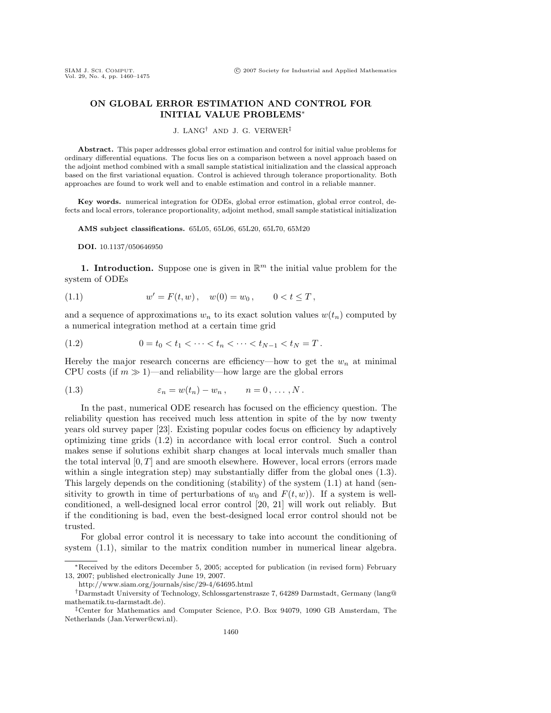## **ON GLOBAL ERROR ESTIMATION AND CONTROL FOR INITIAL VALUE PROBLEMS**∗

J. LANG† AND J. G. VERWER‡

**Abstract.** This paper addresses global error estimation and control for initial value problems for ordinary differential equations. The focus lies on a comparison between a novel approach based on the adjoint method combined with a small sample statistical initialization and the classical approach based on the first variational equation. Control is achieved through tolerance proportionality. Both approaches are found to work well and to enable estimation and control in a reliable manner.

**Key words.** numerical integration for ODEs, global error estimation, global error control, defects and local errors, tolerance proportionality, adjoint method, small sample statistical initialization

**AMS subject classifications.** 65L05, 65L06, 65L20, 65L70, 65M20

**DOI.** 10.1137/050646950

**1. Introduction.** Suppose one is given in  $\mathbb{R}^m$  the initial value problem for the system of ODEs

(1.1) 
$$
w' = F(t, w), \quad w(0) = w_0, \qquad 0 < t \leq T,
$$

and a sequence of approximations  $w_n$  to its exact solution values  $w(t_n)$  computed by a numerical integration method at a certain time grid

$$
(1.2) \t\t 0 = t_0 < t_1 < \cdots < t_n < \cdots < t_{N-1} < t_N = T.
$$

Hereby the major research concerns are efficiency—how to get the  $w_n$  at minimal CPU costs (if  $m \gg 1$ )—and reliability—how large are the global errors

$$
(1.3) \qquad \qquad \varepsilon_n = w(t_n) - w_n \,, \qquad n = 0 \,, \ldots \,, N \,.
$$

In the past, numerical ODE research has focused on the efficiency question. The reliability question has received much less attention in spite of the by now twenty years old survey paper [23]. Existing popular codes focus on efficiency by adaptively optimizing time grids (1.2) in accordance with local error control. Such a control makes sense if solutions exhibit sharp changes at local intervals much smaller than the total interval  $[0, T]$  and are smooth elsewhere. However, local errors (errors made within a single integration step) may substantially differ from the global ones (1.3). This largely depends on the conditioning (stability) of the system (1.1) at hand (sensitivity to growth in time of perturbations of  $w_0$  and  $F(t, w)$ ). If a system is wellconditioned, a well-designed local error control [20, 21] will work out reliably. But if the conditioning is bad, even the best-designed local error control should not be trusted.

For global error control it is necessary to take into account the conditioning of system  $(1.1)$ , similar to the matrix condition number in numerical linear algebra.

<sup>∗</sup>Received by the editors December 5, 2005; accepted for publication (in revised form) February 13, 2007; published electronically June 19, 2007.

http://www.siam.org/journals/sisc/29-4/64695.html

<sup>†</sup>Darmstadt University of Technology, Schlossgartenstrasze 7, 64289 Darmstadt, Germany (lang@ mathematik.tu-darmstadt.de).

<sup>‡</sup>Center for Mathematics and Computer Science, P.O. Box 94079, 1090 GB Amsterdam, The Netherlands (Jan.Verwer@cwi.nl).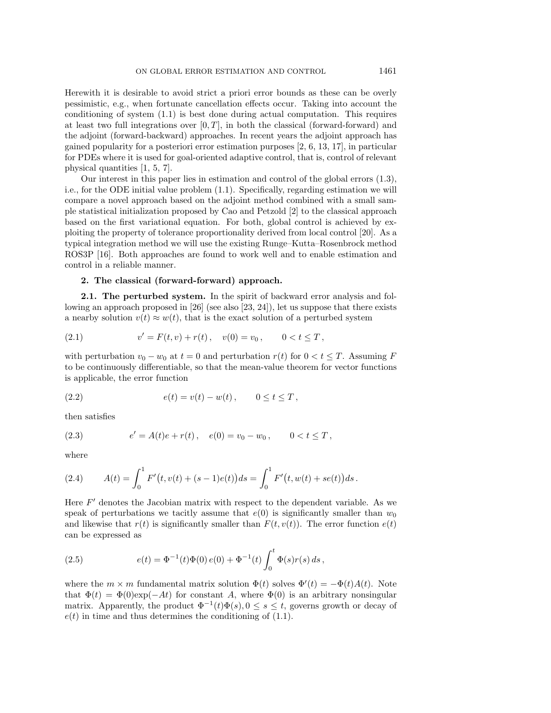Herewith it is desirable to avoid strict a priori error bounds as these can be overly pessimistic, e.g., when fortunate cancellation effects occur. Taking into account the conditioning of system (1.1) is best done during actual computation. This requires at least two full integrations over  $[0, T]$ , in both the classical (forward-forward) and the adjoint (forward-backward) approaches. In recent years the adjoint approach has gained popularity for a posteriori error estimation purposes [2, 6, 13, 17], in particular for PDEs where it is used for goal-oriented adaptive control, that is, control of relevant physical quantities [1, 5, 7].

Our interest in this paper lies in estimation and control of the global errors (1.3), i.e., for the ODE initial value problem (1.1). Specifically, regarding estimation we will compare a novel approach based on the adjoint method combined with a small sample statistical initialization proposed by Cao and Petzold [2] to the classical approach based on the first variational equation. For both, global control is achieved by exploiting the property of tolerance proportionality derived from local control [20]. As a typical integration method we will use the existing Runge–Kutta–Rosenbrock method ROS3P [16]. Both approaches are found to work well and to enable estimation and control in a reliable manner.

## **2. The classical (forward-forward) approach.**

**2.1. The perturbed system.** In the spirit of backward error analysis and following an approach proposed in [26] (see also [23, 24]), let us suppose that there exists a nearby solution  $v(t) \approx w(t)$ , that is the exact solution of a perturbed system

(2.1) 
$$
v' = F(t, v) + r(t), \quad v(0) = v_0, \qquad 0 < t \leq T,
$$

with perturbation  $v_0 - w_0$  at  $t = 0$  and perturbation  $r(t)$  for  $0 < t \leq T$ . Assuming F to be continuously differentiable, so that the mean-value theorem for vector functions is applicable, the error function

(2.2) 
$$
e(t) = v(t) - w(t), \qquad 0 \le t \le T,
$$

then satisfies

(2.3) 
$$
e' = A(t)e + r(t), \quad e(0) = v_0 - w_0, \qquad 0 < t \leq T,
$$

where

(2.4) 
$$
A(t) = \int_0^1 F'(t, v(t) + (s-1)e(t)) ds = \int_0^1 F'(t, w(t) + se(t)) ds.
$$

Here  $F'$  denotes the Jacobian matrix with respect to the dependent variable. As we speak of perturbations we tacitly assume that  $e(0)$  is significantly smaller than  $w_0$ and likewise that  $r(t)$  is significantly smaller than  $F(t, v(t))$ . The error function  $e(t)$ can be expressed as

(2.5) 
$$
e(t) = \Phi^{-1}(t)\Phi(0) e(0) + \Phi^{-1}(t) \int_0^t \Phi(s)r(s) ds,
$$

where the  $m \times m$  fundamental matrix solution  $\Phi(t)$  solves  $\Phi'(t) = -\Phi(t)A(t)$ . Note that  $\Phi(t) = \Phi(0) \exp(-At)$  for constant A, where  $\Phi(0)$  is an arbitrary nonsingular matrix. Apparently, the product  $\Phi^{-1}(t)\Phi(s)$ ,  $0 \leq s \leq t$ , governs growth or decay of  $e(t)$  in time and thus determines the conditioning of  $(1.1)$ .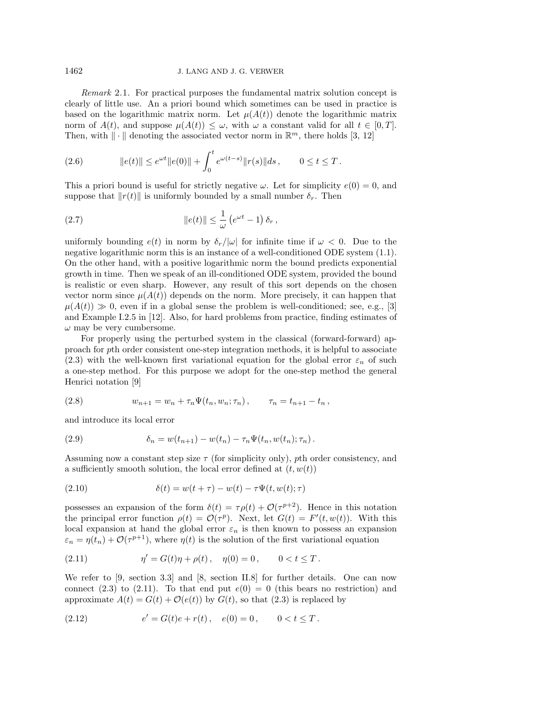Remark 2.1. For practical purposes the fundamental matrix solution concept is clearly of little use. An a priori bound which sometimes can be used in practice is based on the logarithmic matrix norm. Let  $\mu(A(t))$  denote the logarithmic matrix norm of  $A(t)$ , and suppose  $\mu(A(t)) \leq \omega$ , with  $\omega$  a constant valid for all  $t \in [0, T]$ . Then, with  $\|\cdot\|$  denoting the associated vector norm in  $\mathbb{R}^m$ , there holds [3, 12]

(2.6) 
$$
||e(t)|| \leq e^{\omega t} ||e(0)|| + \int_0^t e^{\omega(t-s)} ||r(s)|| ds, \qquad 0 \leq t \leq T.
$$

This a priori bound is useful for strictly negative  $\omega$ . Let for simplicity  $e(0) = 0$ , and suppose that  $||r(t)||$  is uniformly bounded by a small number  $\delta_r$ . Then

(2.7) 
$$
\|e(t)\| \leq \frac{1}{\omega} \left(e^{\omega t} - 1\right) \delta_r,
$$

uniformly bounding  $e(t)$  in norm by  $\delta_r/|\omega|$  for infinite time if  $\omega < 0$ . Due to the negative logarithmic norm this is an instance of a well-conditioned ODE system (1.1). On the other hand, with a positive logarithmic norm the bound predicts exponential growth in time. Then we speak of an ill-conditioned ODE system, provided the bound is realistic or even sharp. However, any result of this sort depends on the chosen vector norm since  $\mu(A(t))$  depends on the norm. More precisely, it can happen that  $\mu(A(t)) \gg 0$ , even if in a global sense the problem is well-conditioned; see, e.g., [3] and Example I.2.5 in [12]. Also, for hard problems from practice, finding estimates of  $\omega$  may be very cumbersome.

For properly using the perturbed system in the classical (forward-forward) approach for pth order consistent one-step integration methods, it is helpful to associate (2.3) with the well-known first variational equation for the global error  $\varepsilon_n$  of such a one-step method. For this purpose we adopt for the one-step method the general Henrici notation [9]

(2.8) 
$$
w_{n+1} = w_n + \tau_n \Psi(t_n, w_n; \tau_n), \qquad \tau_n = t_{n+1} - t_n,
$$

and introduce its local error

(2.9) 
$$
\delta_n = w(t_{n+1}) - w(t_n) - \tau_n \Psi(t_n, w(t_n); \tau_n).
$$

Assuming now a constant step size  $\tau$  (for simplicity only), pth order consistency, and a sufficiently smooth solution, the local error defined at  $(t, w(t))$ 

(2.10) 
$$
\delta(t) = w(t+\tau) - w(t) - \tau \Psi(t, w(t); \tau)
$$

possesses an expansion of the form  $\delta(t) = \tau \rho(t) + \mathcal{O}(\tau^{p+2})$ . Hence in this notation the principal error function  $\rho(t) = \mathcal{O}(\tau^p)$ . Next, let  $G(t) = F'(t, w(t))$ . With this local expansion at hand the global error  $\varepsilon_n$  is then known to possess an expansion  $\varepsilon_n = \eta(t_n) + \mathcal{O}(\tau^{p+1})$ , where  $\eta(t)$  is the solution of the first variational equation

(2.11) 
$$
\eta' = G(t)\eta + \rho(t), \quad \eta(0) = 0, \qquad 0 < t \leq T.
$$

We refer to [9, section 3.3] and [8, section II.8] for further details. One can now connect (2.3) to (2.11). To that end put  $e(0) = 0$  (this bears no restriction) and approximate  $A(t) = G(t) + \mathcal{O}(e(t))$  by  $G(t)$ , so that (2.3) is replaced by

(2.12) 
$$
e' = G(t)e + r(t), \quad e(0) = 0, \qquad 0 < t \leq T.
$$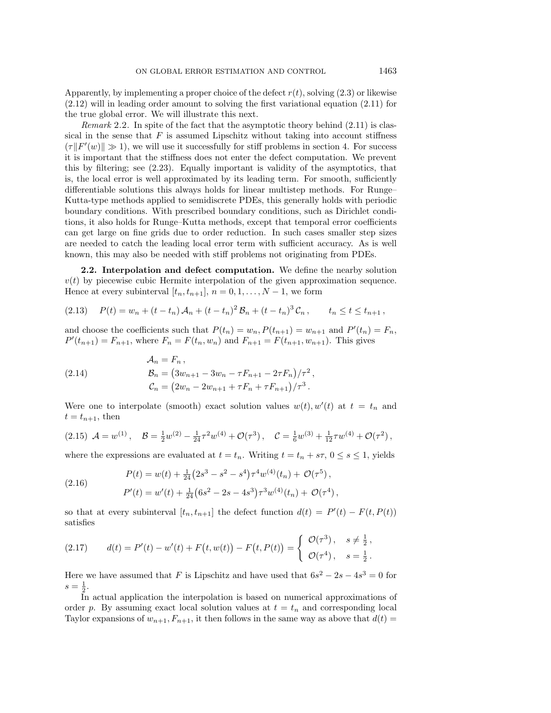Apparently, by implementing a proper choice of the defect  $r(t)$ , solving (2.3) or likewise (2.12) will in leading order amount to solving the first variational equation (2.11) for the true global error. We will illustrate this next.

*Remark* 2.2. In spite of the fact that the asymptotic theory behind  $(2.11)$  is classical in the sense that  $F$  is assumed Lipschitz without taking into account stiffness  $(\tau \| F'(w) \| \gg 1)$ , we will use it successfully for stiff problems in section 4. For success it is important that the stiffness does not enter the defect computation. We prevent this by filtering; see (2.23). Equally important is validity of the asymptotics, that is, the local error is well approximated by its leading term. For smooth, sufficiently differentiable solutions this always holds for linear multistep methods. For Runge– Kutta-type methods applied to semidiscrete PDEs, this generally holds with periodic boundary conditions. With prescribed boundary conditions, such as Dirichlet conditions, it also holds for Runge–Kutta methods, except that temporal error coefficients can get large on fine grids due to order reduction. In such cases smaller step sizes are needed to catch the leading local error term with sufficient accuracy. As is well known, this may also be needed with stiff problems not originating from PDEs.

**2.2. Interpolation and defect computation.** We define the nearby solution  $v(t)$  by piecewise cubic Hermite interpolation of the given approximation sequence. Hence at every subinterval  $[t_n, t_{n+1}], n = 0, 1, \ldots, N-1$ , we form

$$
(2.13) \quad P(t) = w_n + (t - t_n) \mathcal{A}_n + (t - t_n)^2 \mathcal{B}_n + (t - t_n)^3 \mathcal{C}_n, \qquad t_n \le t \le t_{n+1},
$$

and choose the coefficients such that  $P(t_n) = w_n$ ,  $P(t_{n+1}) = w_{n+1}$  and  $P'(t_n) = F_n$ ,  $P'(t_{n+1}) = F_{n+1}$ , where  $F_n = F(t_n, w_n)$  and  $F_{n+1} = F(t_{n+1}, w_{n+1})$ . This gives

(2.14) 
$$
\mathcal{A}_n = F_n ,
$$

$$
\mathcal{B}_n = (3w_{n+1} - 3w_n - \tau F_{n+1} - 2\tau F_n)/\tau^2 ,
$$

$$
\mathcal{C}_n = (2w_n - 2w_{n+1} + \tau F_n + \tau F_{n+1})/\tau^3 .
$$

Were one to interpolate (smooth) exact solution values  $w(t)$ ,  $w'(t)$  at  $t = t_n$  and  $t = t_{n+1}$ , then

$$
(2.15) \mathcal{A} = w^{(1)}, \quad \mathcal{B} = \frac{1}{2}w^{(2)} - \frac{1}{24}\tau^2 w^{(4)} + \mathcal{O}(\tau^3), \quad \mathcal{C} = \frac{1}{6}w^{(3)} + \frac{1}{12}\tau w^{(4)} + \mathcal{O}(\tau^2),
$$

where the expressions are evaluated at  $t = t_n$ . Writing  $t = t_n + s\tau$ ,  $0 \le s \le 1$ , yields

(2.16) 
$$
P(t) = w(t) + \frac{1}{24} (2s^3 - s^2 - s^4) \tau^4 w^{(4)}(t_n) + \mathcal{O}(\tau^5),
$$

$$
P'(t) = w'(t) + \frac{1}{24} (6s^2 - 2s - 4s^3) \tau^3 w^{(4)}(t_n) + \mathcal{O}(\tau^4),
$$

so that at every subinterval  $[t_n, t_{n+1}]$  the defect function  $d(t) = P'(t) - F(t, P(t))$ satisfies

(2.17) 
$$
d(t) = P'(t) - w'(t) + F(t, w(t)) - F(t, P(t)) = \begin{cases} \mathcal{O}(\tau^3), & s \neq \frac{1}{2}, \\ \mathcal{O}(\tau^4), & s = \frac{1}{2}. \end{cases}
$$

Here we have assumed that F is Lipschitz and have used that  $6s^2 - 2s - 4s^3 = 0$  for  $s = \frac{1}{2}.$ 

In actual application the interpolation is based on numerical approximations of order p. By assuming exact local solution values at  $t = t_n$  and corresponding local Taylor expansions of  $w_{n+1}, F_{n+1}$ , it then follows in the same way as above that  $d(t) =$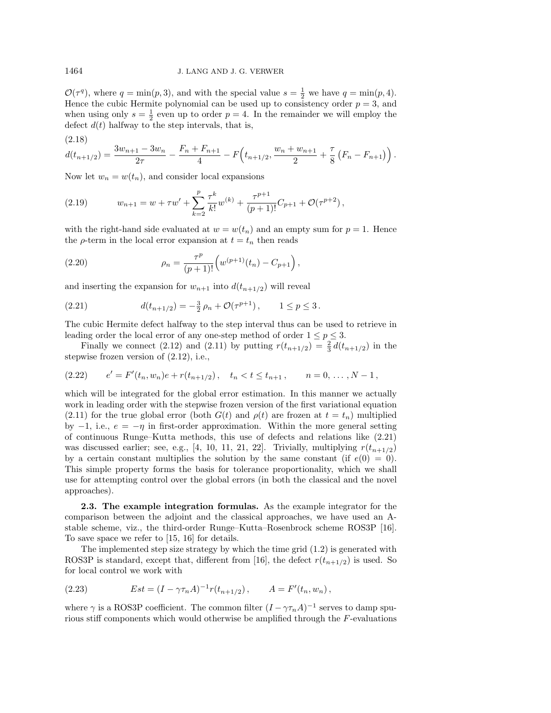$\mathcal{O}(\tau^q)$ , where  $q = \min(p, 3)$ , and with the special value  $s = \frac{1}{2}$  we have  $q = \min(p, 4)$ . Hence the cubic Hermite polynomial can be used up to consistency order  $p = 3$ , and when using only  $s = \frac{1}{2}$  even up to order  $p = 4$ . In the remainder we will employ the defect  $d(t)$  halfway to the step intervals, that is,

(2.18)  

$$
d(t_{n+1/2}) = \frac{3w_{n+1} - 3w_n}{2\tau} - \frac{F_n + F_{n+1}}{4} - F(t_{n+1/2}, \frac{w_n + w_{n+1}}{2} + \frac{\tau}{8} (F_n - F_{n+1}))
$$

Now let  $w_n = w(t_n)$ , and consider local expansions

(2.19) 
$$
w_{n+1} = w + \tau w' + \sum_{k=2}^p \frac{\tau^k}{k!} w^{(k)} + \frac{\tau^{p+1}}{(p+1)!} C_{p+1} + \mathcal{O}(\tau^{p+2}),
$$

with the right-hand side evaluated at  $w = w(t_n)$  and an empty sum for  $p = 1$ . Hence the  $\rho$ -term in the local error expansion at  $t = t_n$  then reads

(2.20) 
$$
\rho_n = \frac{\tau^p}{(p+1)!} \left( w^{(p+1)}(t_n) - C_{p+1} \right),
$$

and inserting the expansion for  $w_{n+1}$  into  $d(t_{n+1/2})$  will reveal

(2.21) 
$$
d(t_{n+1/2}) = -\frac{3}{2}\,\rho_n + \mathcal{O}(\tau^{p+1}), \qquad 1 \le p \le 3.
$$

The cubic Hermite defect halfway to the step interval thus can be used to retrieve in leading order the local error of any one-step method of order  $1 \le p \le 3$ .

Finally we connect (2.12) and (2.11) by putting  $r(t_{n+1/2}) = \frac{2}{3} d(t_{n+1/2})$  in the stepwise frozen version of (2.12), i.e.,

$$
(2.22) \t e' = F'(t_n, w_n)e + r(t_{n+1/2}), \t t_n < t \le t_{n+1}, \t n = 0, \ldots, N-1,
$$

which will be integrated for the global error estimation. In this manner we actually work in leading order with the stepwise frozen version of the first variational equation (2.11) for the true global error (both  $G(t)$  and  $\rho(t)$  are frozen at  $t = t_n$ ) multiplied by  $-1$ , i.e.,  $e = -\eta$  in first-order approximation. Within the more general setting of continuous Runge–Kutta methods, this use of defects and relations like (2.21) was discussed earlier; see, e.g., [4, 10, 11, 21, 22]. Trivially, multiplying  $r(t_{n+1/2})$ by a certain constant multiplies the solution by the same constant (if  $e(0) = 0$ ). This simple property forms the basis for tolerance proportionality, which we shall use for attempting control over the global errors (in both the classical and the novel approaches).

**2.3. The example integration formulas.** As the example integrator for the comparison between the adjoint and the classical approaches, we have used an Astable scheme, viz., the third-order Runge–Kutta–Rosenbrock scheme ROS3P [16]. To save space we refer to [15, 16] for details.

The implemented step size strategy by which the time grid (1.2) is generated with ROS3P is standard, except that, different from [16], the defect  $r(t_{n+1/2})$  is used. So for local control we work with

(2.23) 
$$
Est = (I - \gamma \tau_n A)^{-1} r(t_{n+1/2}), \qquad A = F'(t_n, w_n),
$$

where  $\gamma$  is a ROS3P coefficient. The common filter  $(I - \gamma \tau_n A)^{-1}$  serves to damp spurious stiff components which would otherwise be amplified through the F-evaluations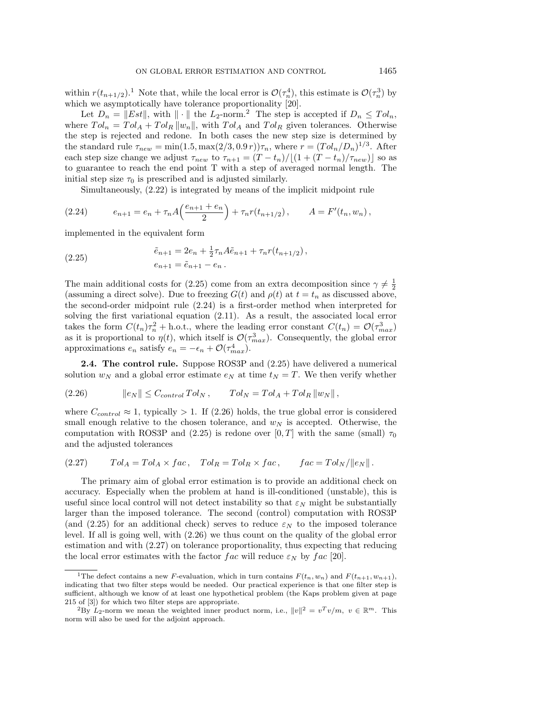within  $r(t_{n+1/2})$ .<sup>1</sup> Note that, while the local error is  $\mathcal{O}(\tau_n^4)$ , this estimate is  $\mathcal{O}(\tau_n^3)$  by which we asymptotically have tolerance proportionality [20].

Let  $D_n = ||Est||$ , with  $|| \cdot ||$  the  $L_2$ -norm.<sup>2</sup> The step is accepted if  $D_n \leq Tol_n$ , where  $Tol_n = Tol_A + Tol_R ||w_n||$ , with  $Tol_A$  and  $Tol_R$  given tolerances. Otherwise the step is rejected and redone. In both cases the new step size is determined by the standard rule  $\tau_{new} = \min(1.5, \max(2/3, 0.9 r))\tau_n$ , where  $r = (Tol_n/D_n)^{1/3}$ . After each step size change we adjust  $\tau_{new}$  to  $\tau_{n+1} = (T - t_n)/[(1 + (T - t_n)/\tau_{new})]$  so as to guarantee to reach the end point T with a step of averaged normal length. The initial step size  $\tau_0$  is prescribed and is adjusted similarly.

Simultaneously, (2.22) is integrated by means of the implicit midpoint rule

(2.24) 
$$
e_{n+1} = e_n + \tau_n A \left( \frac{e_{n+1} + e_n}{2} \right) + \tau_n r(t_{n+1/2}), \qquad A = F'(t_n, w_n),
$$

implemented in the equivalent form

(2.25) 
$$
\tilde{e}_{n+1} = 2e_n + \frac{1}{2}\tau_n A \tilde{e}_{n+1} + \tau_n r(t_{n+1/2}),
$$

$$
e_{n+1} = \tilde{e}_{n+1} - e_n.
$$

The main additional costs for (2.25) come from an extra decomposition since  $\gamma \neq \frac{1}{2}$ (assuming a direct solve). Due to freezing  $G(t)$  and  $\rho(t)$  at  $t = t_n$  as discussed above, the second-order midpoint rule (2.24) is a first-order method when interpreted for solving the first variational equation (2.11). As a result, the associated local error takes the form  $C(t_n)\tau_n^2 + \text{h.o.t.}$ , where the leading error constant  $C(t_n) = \mathcal{O}(\tau_{max}^3)$ as it is proportional to  $\eta(t)$ , which itself is  $\mathcal{O}(\tau_{max}^3)$ . Consequently, the global error approximations  $e_n$  satisfy  $e_n = -\epsilon_n + \mathcal{O}(\tau_{max}^4)$ .

**2.4. The control rule.** Suppose ROS3P and (2.25) have delivered a numerical solution  $w_N$  and a global error estimate  $e_N$  at time  $t_N = T$ . We then verify whether

(2.26) e<sup>N</sup> ≤ Ccontrol T ol<sup>N</sup> , T ol<sup>N</sup> = T ol<sup>A</sup> + T ol<sup>R</sup> w<sup>N</sup> ,

where  $C_{control} \approx 1$ , typically > 1. If (2.26) holds, the true global error is considered small enough relative to the chosen tolerance, and  $w<sub>N</sub>$  is accepted. Otherwise, the computation with ROS3P and (2.25) is redone over [0, T] with the same (small)  $\tau_0$ and the adjusted tolerances

(2.27) 
$$
Tol_A = Tol_A \times fac, \quad Tol_R = Tol_R \times fac, \quad fac = Tol_N / ||e_N||.
$$

The primary aim of global error estimation is to provide an additional check on accuracy. Especially when the problem at hand is ill-conditioned (unstable), this is useful since local control will not detect instability so that  $\varepsilon_N$  might be substantially larger than the imposed tolerance. The second (control) computation with ROS3P (and (2.25) for an additional check) serves to reduce  $\varepsilon_N$  to the imposed tolerance level. If all is going well, with (2.26) we thus count on the quality of the global error estimation and with (2.27) on tolerance proportionality, thus expecting that reducing the local error estimates with the factor fac will reduce  $\varepsilon_N$  by fac [20].

<sup>&</sup>lt;sup>1</sup>The defect contains a new F-evaluation, which in turn contains  $F(t_n, w_n)$  and  $F(t_{n+1}, w_{n+1})$ , indicating that two filter steps would be needed. Our practical experience is that one filter step is sufficient, although we know of at least one hypothetical problem (the Kaps problem given at page 215 of [3]) for which two filter steps are appropriate.

<sup>&</sup>lt;sup>2</sup>By  $L_2$ -norm we mean the weighted inner product norm, i.e.,  $||v||^2 = v^T v/m$ ,  $v \in \mathbb{R}^m$ . This norm will also be used for the adjoint approach.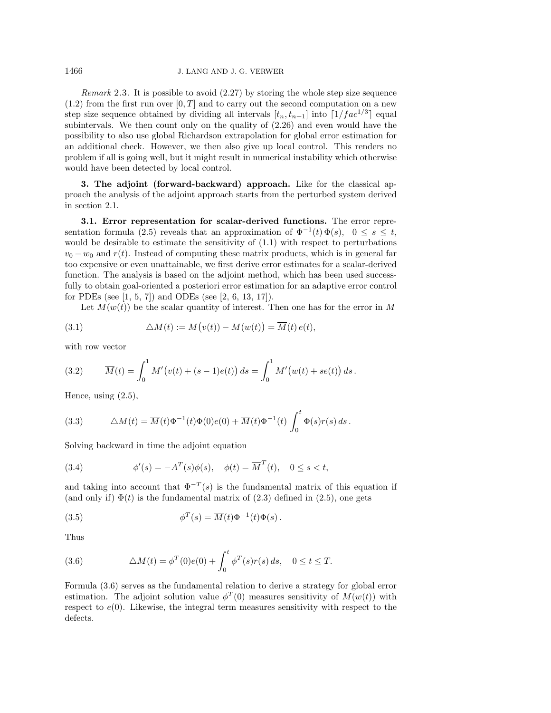Remark 2.3. It is possible to avoid (2.27) by storing the whole step size sequence  $(1.2)$  from the first run over  $[0, T]$  and to carry out the second computation on a new step size sequence obtained by dividing all intervals  $[t_n, t_{n+1}]$  into  $\lceil 1/fac^{1/3} \rceil$  equal subintervals. We then count only on the quality of (2.26) and even would have the possibility to also use global Richardson extrapolation for global error estimation for an additional check. However, we then also give up local control. This renders no problem if all is going well, but it might result in numerical instability which otherwise would have been detected by local control.

**3. The adjoint (forward-backward) approach.** Like for the classical approach the analysis of the adjoint approach starts from the perturbed system derived in section 2.1.

**3.1. Error representation for scalar-derived functions.** The error representation formula (2.5) reveals that an approximation of  $\Phi^{-1}(t) \Phi(s)$ ,  $0 \le s \le t$ , would be desirable to estimate the sensitivity of (1.1) with respect to perturbations  $v_0 - w_0$  and  $r(t)$ . Instead of computing these matrix products, which is in general far too expensive or even unattainable, we first derive error estimates for a scalar-derived function. The analysis is based on the adjoint method, which has been used successfully to obtain goal-oriented a posteriori error estimation for an adaptive error control for PDEs (see [1, 5, 7]) and ODEs (see [2, 6, 13, 17]).

Let  $M(w(t))$  be the scalar quantity of interest. Then one has for the error in M

(3.1) 
$$
\Delta M(t) := M(v(t)) - M(w(t)) = \overline{M}(t) e(t),
$$

with row vector

(3.2) 
$$
\overline{M}(t) = \int_0^1 M'(v(t) + (s-1)e(t)) ds = \int_0^1 M'(w(t) + se(t)) ds.
$$

Hence, using (2.5),

(3.3) 
$$
\Delta M(t) = \overline{M}(t)\Phi^{-1}(t)\Phi(0)e(0) + \overline{M}(t)\Phi^{-1}(t)\int_0^t \Phi(s)r(s) ds.
$$

Solving backward in time the adjoint equation

(3.4) 
$$
\phi'(s) = -A^T(s)\phi(s), \quad \phi(t) = \overline{M}^T(t), \quad 0 \le s < t,
$$

and taking into account that  $\Phi^{-T}(s)$  is the fundamental matrix of this equation if (and only if)  $\Phi(t)$  is the fundamental matrix of (2.3) defined in (2.5), one gets

(3.5) 
$$
\phi^T(s) = \overline{M}(t)\Phi^{-1}(t)\Phi(s).
$$

Thus

(3.6) 
$$
\Delta M(t) = \phi^T(0)e(0) + \int_0^t \phi^T(s)r(s) ds, \quad 0 \le t \le T.
$$

Formula (3.6) serves as the fundamental relation to derive a strategy for global error estimation. The adjoint solution value  $\phi^T(0)$  measures sensitivity of  $M(w(t))$  with respect to  $e(0)$ . Likewise, the integral term measures sensitivity with respect to the defects.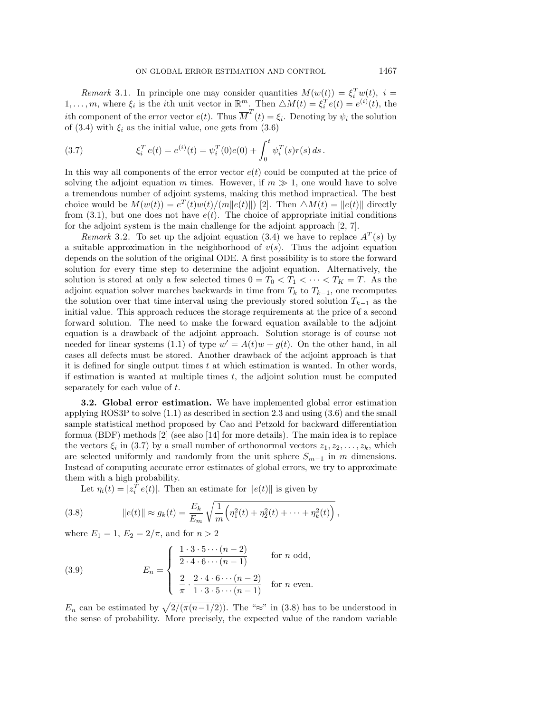Remark 3.1. In principle one may consider quantities  $M(w(t)) = \xi_i^T w(t), i =$ 1,..., m, where  $\xi_i$  is the *i*th unit vector in  $\mathbb{R}^m$ . Then  $\triangle M(t) = \xi_i^T e(t) = e^{(i)}(t)$ , the *i*th component of the error vector  $e(t)$ . Thus  $\overline{M}^T(t) = \xi_i$ . Denoting by  $\psi_i$  the solution of (3.4) with  $\xi_i$  as the initial value, one gets from (3.6)

(3.7) 
$$
\xi_i^T e(t) = e^{(i)}(t) = \psi_i^T(0)e(0) + \int_0^t \psi_i^T(s)r(s) ds.
$$

In this way all components of the error vector  $e(t)$  could be computed at the price of solving the adjoint equation m times. However, if  $m \gg 1$ , one would have to solve a tremendous number of adjoint systems, making this method impractical. The best choice would be  $M(w(t)) = e^T(t)w(t)/\langle m||e(t)||$  [2]. Then  $\triangle M(t) = ||e(t)||$  directly from  $(3.1)$ , but one does not have  $e(t)$ . The choice of appropriate initial conditions for the adjoint system is the main challenge for the adjoint approach [2, 7].

Remark 3.2. To set up the adjoint equation (3.4) we have to replace  $A<sup>T</sup>(s)$  by a suitable approximation in the neighborhood of  $v(s)$ . Thus the adjoint equation depends on the solution of the original ODE. A first possibility is to store the forward solution for every time step to determine the adjoint equation. Alternatively, the solution is stored at only a few selected times  $0 = T_0 < T_1 < \cdots < T_K = T$ . As the adjoint equation solver marches backwards in time from  $T_k$  to  $T_{k-1}$ , one recomputes the solution over that time interval using the previously stored solution  $T_{k-1}$  as the initial value. This approach reduces the storage requirements at the price of a second forward solution. The need to make the forward equation available to the adjoint equation is a drawback of the adjoint approach. Solution storage is of course not needed for linear systems (1.1) of type  $w' = A(t)w + q(t)$ . On the other hand, in all cases all defects must be stored. Another drawback of the adjoint approach is that it is defined for single output times t at which estimation is wanted. In other words, if estimation is wanted at multiple times  $t$ , the adjoint solution must be computed separately for each value of t.

**3.2. Global error estimation.** We have implemented global error estimation applying ROS3P to solve (1.1) as described in section 2.3 and using (3.6) and the small sample statistical method proposed by Cao and Petzold for backward differentiation formua (BDF) methods [2] (see also [14] for more details). The main idea is to replace the vectors  $\xi_i$  in (3.7) by a small number of orthonormal vectors  $z_1, z_2, \ldots, z_k$ , which are selected uniformly and randomly from the unit sphere  $S_{m-1}$  in m dimensions. Instead of computing accurate error estimates of global errors, we try to approximate them with a high probability.

Let  $\eta_i(t) = |z_i^T e(t)|$ . Then an estimate for  $||e(t)||$  is given by

(3.8) 
$$
\|e(t)\| \approx g_k(t) = \frac{E_k}{E_m} \sqrt{\frac{1}{m} \left(\eta_1^2(t) + \eta_2^2(t) + \dots + \eta_k^2(t)\right)},
$$

where  $E_1 = 1, E_2 = 2/\pi$ , and for  $n > 2$ 

(3.9) 
$$
E_n = \begin{cases} \frac{1 \cdot 3 \cdot 5 \cdots (n-2)}{2 \cdot 4 \cdot 6 \cdots (n-1)} & \text{for } n \text{ odd,} \\ \frac{2}{\pi} \cdot \frac{2 \cdot 4 \cdot 6 \cdots (n-2)}{1 \cdot 3 \cdot 5 \cdots (n-1)} & \text{for } n \text{ even.} \end{cases}
$$

 $E_n$  can be estimated by  $\sqrt{2/(\pi(n-1/2))}$ . The "≈" in (3.8) has to be understood in the sense of probability. More precisely, the expected value of the random variable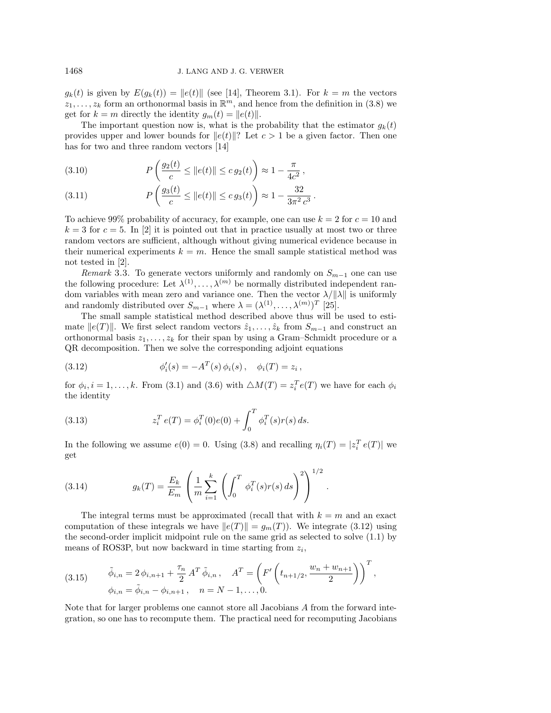$g_k(t)$  is given by  $E(g_k(t)) = ||e(t)||$  (see [14], Theorem 3.1). For  $k = m$  the vectors  $z_1, \ldots, z_k$  form an orthonormal basis in  $\mathbb{R}^m$ , and hence from the definition in (3.8) we get for  $k = m$  directly the identity  $g_m(t) = ||e(t)||$ .

The important question now is, what is the probability that the estimator  $g_k(t)$ provides upper and lower bounds for  $||e(t)||$ ? Let  $c > 1$  be a given factor. Then one has for two and three random vectors [14]

(3.10) 
$$
P\left(\frac{g_2(t)}{c} \le ||e(t)|| \le c g_2(t)\right) \approx 1 - \frac{\pi}{4c^2},
$$

(3.11) 
$$
P\left(\frac{g_3(t)}{c} \le ||e(t)|| \le c g_3(t)\right) \approx 1 - \frac{32}{3\pi^2 c^3}.
$$

To achieve 99% probability of accuracy, for example, one can use  $k = 2$  for  $c = 10$  and  $k = 3$  for  $c = 5$ . In [2] it is pointed out that in practice usually at most two or three random vectors are sufficient, although without giving numerical evidence because in their numerical experiments  $k = m$ . Hence the small sample statistical method was not tested in [2].

Remark 3.3. To generate vectors uniformly and randomly on  $S_{m-1}$  one can use the following procedure: Let  $\lambda^{(1)}, \ldots, \lambda^{(m)}$  be normally distributed independent random variables with mean zero and variance one. Then the vector  $\lambda/||\lambda||$  is uniformly and randomly distributed over  $S_{m-1}$  where  $\lambda = (\lambda^{(1)}, \ldots, \lambda^{(m)})^T$  [25].

The small sample statistical method described above thus will be used to estimate  $||e(T)||$ . We first select random vectors  $\hat{z}_1,\ldots,\hat{z}_k$  from  $S_{m-1}$  and construct an orthonormal basis  $z_1, \ldots, z_k$  for their span by using a Gram–Schmidt procedure or a QR decomposition. Then we solve the corresponding adjoint equations

(3.12) 
$$
\phi'_i(s) = -A^T(s)\,\phi_i(s)\,, \quad \phi_i(T) = z_i\,,
$$

for  $\phi_i, i = 1, \ldots, k$ . From (3.1) and (3.6) with  $\triangle M(T) = z_i^T e(T)$  we have for each  $\phi_i$ the identity

(3.13) 
$$
z_i^T e(T) = \phi_i^T(0)e(0) + \int_0^T \phi_i^T(s)r(s) ds.
$$

In the following we assume  $e(0) = 0$ . Using (3.8) and recalling  $\eta_i(T) = |z_i^T e(T)|$  we get

(3.14) 
$$
g_k(T) = \frac{E_k}{E_m} \left( \frac{1}{m} \sum_{i=1}^k \left( \int_0^T \phi_i^T(s) r(s) \, ds \right)^2 \right)^{1/2}.
$$

The integral terms must be approximated (recall that with  $k = m$  and an exact computation of these integrals we have  $||e(T)|| = g_m(T)$ ). We integrate (3.12) using the second-order implicit midpoint rule on the same grid as selected to solve (1.1) by means of ROS3P, but now backward in time starting from  $z_i$ ,

(3.15) 
$$
\tilde{\phi}_{i,n} = 2 \phi_{i,n+1} + \frac{\tau_n}{2} A^T \tilde{\phi}_{i,n}, \quad A^T = \left( F' \left( t_{n+1/2}, \frac{w_n + w_{n+1}}{2} \right) \right)^T,
$$

$$
\phi_{i,n} = \tilde{\phi}_{i,n} - \phi_{i,n+1}, \quad n = N - 1, ..., 0.
$$

Note that for larger problems one cannot store all Jacobians A from the forward integration, so one has to recompute them. The practical need for recomputing Jacobians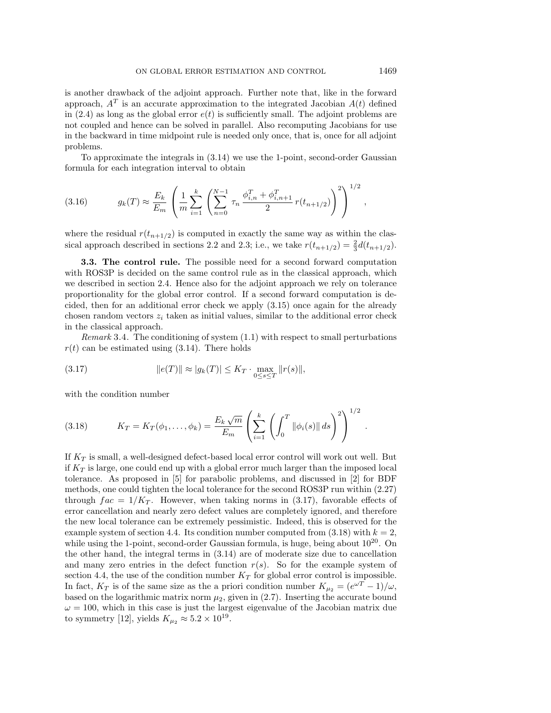is another drawback of the adjoint approach. Further note that, like in the forward approach,  $A<sup>T</sup>$  is an accurate approximation to the integrated Jacobian  $A(t)$  defined in (2.4) as long as the global error  $e(t)$  is sufficiently small. The adjoint problems are not coupled and hence can be solved in parallel. Also recomputing Jacobians for use in the backward in time midpoint rule is needed only once, that is, once for all adjoint problems.

To approximate the integrals in (3.14) we use the 1-point, second-order Gaussian formula for each integration interval to obtain

(3.16) 
$$
g_k(T) \approx \frac{E_k}{E_m} \left( \frac{1}{m} \sum_{i=1}^k \left( \sum_{n=0}^{N-1} \tau_n \frac{\phi_{i,n}^T + \phi_{i,n+1}^T}{2} r(t_{n+1/2}) \right)^2 \right)^{1/2},
$$

where the residual  $r(t_{n+1/2})$  is computed in exactly the same way as within the classical approach described in sections 2.2 and 2.3; i.e., we take  $r(t_{n+1/2}) = \frac{2}{3}d(t_{n+1/2})$ .

**3.3. The control rule.** The possible need for a second forward computation with ROS3P is decided on the same control rule as in the classical approach, which we described in section 2.4. Hence also for the adjoint approach we rely on tolerance proportionality for the global error control. If a second forward computation is decided, then for an additional error check we apply (3.15) once again for the already chosen random vectors  $z_i$  taken as initial values, similar to the additional error check in the classical approach.

*Remark* 3.4. The conditioning of system  $(1.1)$  with respect to small perturbations  $r(t)$  can be estimated using  $(3.14)$ . There holds

(3.17) 
$$
||e(T)|| \approx |g_k(T)| \le K_T \cdot \max_{0 \le s \le T} ||r(s)||,
$$

with the condition number

(3.18) 
$$
K_T = K_T(\phi_1, ..., \phi_k) = \frac{E_k \sqrt{m}}{E_m} \left( \sum_{i=1}^k \left( \int_0^T ||\phi_i(s)|| ds \right)^2 \right)^{1/2}
$$

If  $K_T$  is small, a well-designed defect-based local error control will work out well. But if  $K_T$  is large, one could end up with a global error much larger than the imposed local tolerance. As proposed in [5] for parabolic problems, and discussed in [2] for BDF methods, one could tighten the local tolerance for the second ROS3P run within (2.27) through  $fac = 1/K_T$ . However, when taking norms in (3.17), favorable effects of error cancellation and nearly zero defect values are completely ignored, and therefore the new local tolerance can be extremely pessimistic. Indeed, this is observed for the example system of section 4.4. Its condition number computed from  $(3.18)$  with  $k = 2$ , while using the 1-point, second-order Gaussian formula, is huge, being about  $10^{20}$ . On the other hand, the integral terms in (3.14) are of moderate size due to cancellation and many zero entries in the defect function  $r(s)$ . So for the example system of section 4.4, the use of the condition number  $K_T$  for global error control is impossible. In fact,  $K_T$  is of the same size as the a priori condition number  $K_{\mu_2} = (e^{\omega T} - 1)/\omega$ , based on the logarithmic matrix norm  $\mu_2$ , given in (2.7). Inserting the accurate bound  $\omega = 100$ , which in this case is just the largest eigenvalue of the Jacobian matrix due to symmetry [12], yields  $K_{\mu_2} \approx 5.2 \times 10^{19}$ .

.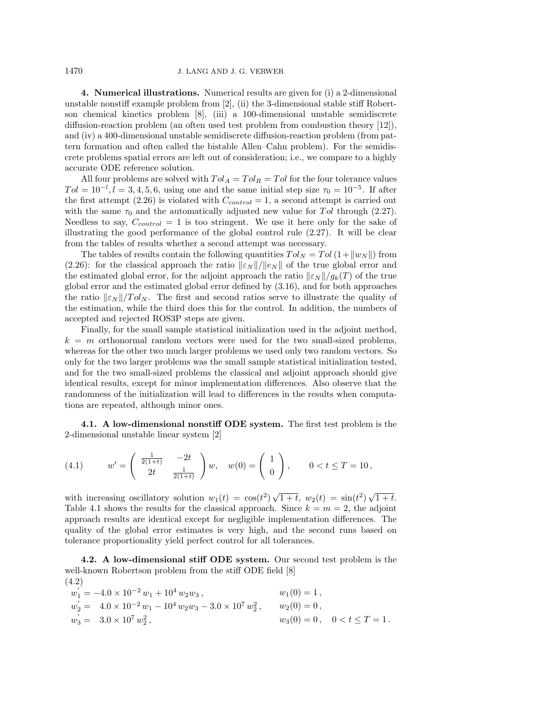**4. Numerical illustrations.** Numerical results are given for (i) a 2-dimensional unstable nonstiff example problem from  $[2]$ , (ii) the 3-dimensional stable stiff Robertson chemical kinetics problem [8], (iii) a 100-dimensional unstable semidiscrete diffusion-reaction problem (an often used test problem from combustion theory [12]), and (iv) a 400-dimensional unstable semidiscrete diffusion-reaction problem (from pattern formation and often called the bistable Allen–Cahn problem). For the semidiscrete problems spatial errors are left out of consideration; i.e., we compare to a highly accurate ODE reference solution.

All four problems are solved with  $Tol_A = Tol_B = Tol$  for the four tolerance values  $Tol = 10^{-l}, l = 3, 4, 5, 6$ , using one and the same initial step size  $\tau_0 = 10^{-5}$ . If after the first attempt (2.26) is violated with  $C_{control} = 1$ , a second attempt is carried out with the same  $\tau_0$  and the automatically adjusted new value for Tol through (2.27). Needless to say,  $C_{control} = 1$  is too stringent. We use it here only for the sake of illustrating the good performance of the global control rule (2.27). It will be clear from the tables of results whether a second attempt was necessary.

The tables of results contain the following quantities  $Tol_N = Tol(1+\|w_N\|)$  from (2.26): for the classical approach the ratio  $\|\varepsilon_N\|/\|e_N\|$  of the true global error and the estimated global error, for the adjoint approach the ratio  $\lVert \varepsilon_N \rVert / g_k(T)$  of the true global error and the estimated global error defined by (3.16), and for both approaches the ratio  $\|\varepsilon_N\|/Tol_N$ . The first and second ratios serve to illustrate the quality of the estimation, while the third does this for the control. In addition, the numbers of accepted and rejected ROS3P steps are given.

Finally, for the small sample statistical initialization used in the adjoint method,  $k = m$  orthonormal random vectors were used for the two small-sized problems, whereas for the other two much larger problems we used only two random vectors. So only for the two larger problems was the small sample statistical initialization tested, and for the two small-sized problems the classical and adjoint approach should give identical results, except for minor implementation differences. Also observe that the randomness of the initialization will lead to differences in the results when computations are repeated, although minor ones.

**4.1. A low-dimensional nonstiff ODE system.** The first test problem is the 2-dimensional unstable linear system [2]

(4.1) 
$$
w' = \begin{pmatrix} \frac{1}{2(1+t)} & -2t \\ 2t & \frac{1}{2(1+t)} \end{pmatrix} w, \quad w(0) = \begin{pmatrix} 1 \\ 0 \end{pmatrix}, \quad 0 < t \leq T = 10,
$$

with increasing oscillatory solution  $w_1(t) = \cos(t^2)\sqrt{1+t}$ ,  $w_2(t) = \sin(t^2)\sqrt{1+t}$ . Table 4.1 shows the results for the classical approach. Since  $k = m = 2$ , the adjoint approach results are identical except for negligible implementation differences. The quality of the global error estimates is very high, and the second runs based on tolerance proportionality yield perfect control for all tolerances.

**4.2. A low-dimensional stiff ODE system.** Our second test problem is the well-known Robertson problem from the stiff ODE field [8] (4.2)

$$
w_1^{'} = -4.0 \times 10^{-2} w_1 + 10^4 w_2 w_3, \t w_1(0) = 1,w_2^{'} = 4.0 \times 10^{-2} w_1 - 10^4 w_2 w_3 - 3.0 \times 10^7 w_2^2, \t w_2(0) = 0,w_3^{'} = 3.0 \times 10^7 w_2^2, \t w_3(0) = 0, \t 0 < t \le T = 1.
$$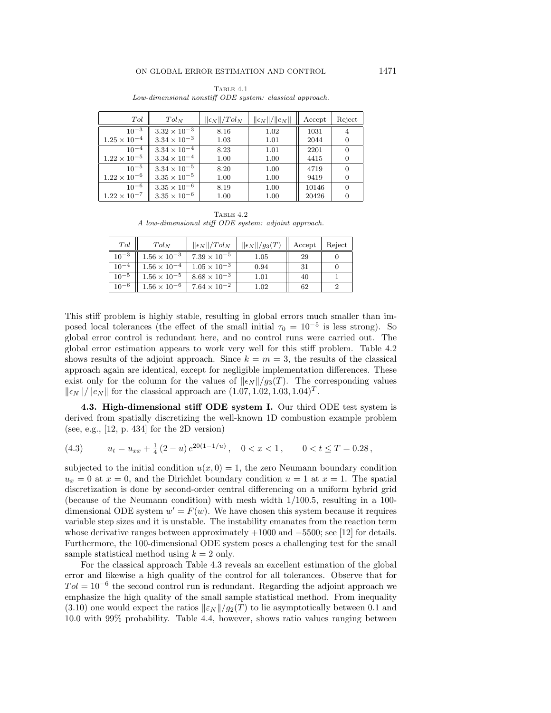| Tol                   | $Tol_N$               | $\ \epsilon_N\ /Tol_N$ | $\ \epsilon_N\ /\ \epsilon_N\ $ | Accept | Reject |
|-----------------------|-----------------------|------------------------|---------------------------------|--------|--------|
| $10^{-3}$             | $3.32 \times 10^{-3}$ | 8.16                   | 1.02                            | 1031   |        |
| $1.25 \times 10^{-4}$ | $3.34 \times 10^{-3}$ | 1.03                   | 1.01                            | 2044   |        |
| $10^{-4}$             | $3.34 \times 10^{-4}$ | 8.23                   | 1.01                            | 2201   |        |
| $1.22 \times 10^{-5}$ | $3.34 \times 10^{-4}$ | 1.00                   | 1.00                            | 4415   |        |
| $10^{-5}$             | $3.34 \times 10^{-5}$ | 8.20                   | 1.00                            | 4719   |        |
| $1.22\times10^{-6}$   | $3.35 \times 10^{-5}$ | 1.00                   | 1.00                            | 9419   |        |
| $10^{-6}$             | $3.35 \times 10^{-6}$ | 8.19                   | 1.00                            | 10146  |        |
| $1.22 \times 10^{-7}$ | $3.35 \times 10^{-6}$ | 1.00                   | 1.00                            | 20426  |        |

Table 4.1 Low-dimensional nonstiff ODE system: classical approach.

TABLE  $4.2$ A low-dimensional stiff ODE system: adjoint approach.

| Tol       | $Tol_N$               | $\ \epsilon_N\ /Tol_N$ | $\ \epsilon_N\ /g_3(T)$ | Accept | Reject |
|-----------|-----------------------|------------------------|-------------------------|--------|--------|
| $10^{-3}$ | $1.56 \times 10^{-3}$ | $7.39 \times 10^{-5}$  | 1.05                    | 29     |        |
| $10^{-4}$ | $1.56 \times 10^{-4}$ | $1.05 \times 10^{-3}$  | 0.94                    | 31     |        |
| $10^{-5}$ | $1.56 \times 10^{-5}$ | $8.68 \times 10^{-3}$  | 1.01                    | 40     |        |
| $10^{-6}$ | $1.56 \times 10^{-6}$ | $7.64 \times 10^{-2}$  | $1.02\,$                | 62     |        |

This stiff problem is highly stable, resulting in global errors much smaller than imposed local tolerances (the effect of the small initial  $\tau_0 = 10^{-5}$  is less strong). So global error control is redundant here, and no control runs were carried out. The global error estimation appears to work very well for this stiff problem. Table 4.2 shows results of the adjoint approach. Since  $k = m = 3$ , the results of the classical approach again are identical, except for negligible implementation differences. These exist only for the column for the values of  $\|\epsilon_N\|/g_3(T)$ . The corresponding values  $\|\epsilon_N\|/\|\epsilon_N\|$  for the classical approach are  $(1.07, 1.02, 1.03, 1.04)^T$ .

**4.3. High-dimensional stiff ODE system I.** Our third ODE test system is derived from spatially discretizing the well-known 1D combustion example problem (see, e.g., [12, p. 434] for the 2D version)

(4.3) 
$$
u_t = u_{xx} + \frac{1}{4} (2 - u) e^{20(1 - 1/u)}, \quad 0 < x < 1, \quad 0 < t \le T = 0.28,
$$

subjected to the initial condition  $u(x, 0) = 1$ , the zero Neumann boundary condition  $u_x = 0$  at  $x = 0$ , and the Dirichlet boundary condition  $u = 1$  at  $x = 1$ . The spatial discretization is done by second-order central differencing on a uniform hybrid grid (because of the Neumann condition) with mesh width 1/100.5, resulting in a 100 dimensional ODE system  $w' = F(w)$ . We have chosen this system because it requires variable step sizes and it is unstable. The instability emanates from the reaction term whose derivative ranges between approximately +1000 and −5500; see [12] for details. Furthermore, the 100-dimensional ODE system poses a challenging test for the small sample statistical method using  $k = 2$  only.

For the classical approach Table 4.3 reveals an excellent estimation of the global error and likewise a high quality of the control for all tolerances. Observe that for  $Tol = 10^{-6}$  the second control run is redundant. Regarding the adjoint approach we emphasize the high quality of the small sample statistical method. From inequality (3.10) one would expect the ratios  $\|\varepsilon_N\|/g_2(T)$  to lie asymptotically between 0.1 and 10.0 with 99% probability. Table 4.4, however, shows ratio values ranging between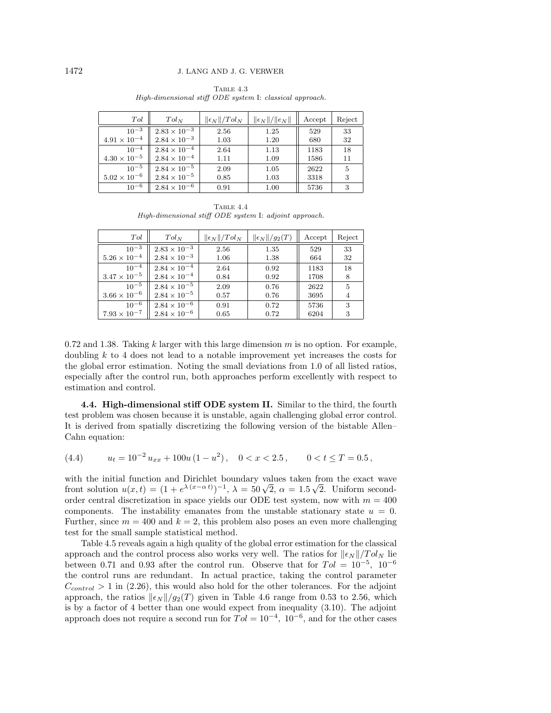| Tol                   | $Tol_N$               | $\ \epsilon_N\ /Tol_N$ | $\ \epsilon_N\ /\ e_N\ $ | Accept | Reject |
|-----------------------|-----------------------|------------------------|--------------------------|--------|--------|
| $10^{-3}$             | $2.83 \times 10^{-3}$ | 2.56                   | 1.25                     | 529    | 33     |
| $4.91\times10^{-4}$   | $2.84 \times 10^{-3}$ | 1.03                   | 1.20                     | 680    | 32     |
| $10^{-4}$             | $2.84 \times 10^{-4}$ | 2.64                   | 1.13                     | 1183   | 18     |
| $4.30 \times 10^{-5}$ | $2.84 \times 10^{-4}$ | 1.11                   | 1.09                     | 1586   | 11     |
| $10^{-5}$             | $2.84 \times 10^{-5}$ | 2.09                   | 1.05                     | 2622   | 5      |
| $5.02\times10^{-6}$   | $2.84 \times 10^{-5}$ | 0.85                   | 1.03                     | 3318   | 3      |
| $10^{-6}$             | $2.84 \times 10^{-6}$ | 0.91                   | 1.00                     | 5736   | 3      |

Table 4.3 High-dimensional stiff ODE system I: classical approach.

TABLE  $4.4$ High-dimensional stiff ODE system I: adjoint approach.

| Tol                   | $Tol_N$               | $\ \epsilon_N\ /Tol_N$ | $\ \epsilon_N\ /g_2(T)$ | Accept | Reject         |
|-----------------------|-----------------------|------------------------|-------------------------|--------|----------------|
| $10^{-3}$             | $2.83 \times 10^{-3}$ | 2.56                   | 1.35                    | 529    | 33             |
| $5.26 \times 10^{-4}$ | $2.84 \times 10^{-3}$ | 1.06                   | 1.38                    | 664    | 32             |
| $10^{-4}$             | $2.84 \times 10^{-4}$ | 2.64                   | 0.92                    | 1183   | 18             |
| $3.47 \times 10^{-5}$ | $2.84 \times 10^{-4}$ | 0.84                   | 0.92                    | 1708   | 8              |
| $10^{-5}$             | $2.84 \times 10^{-5}$ | 2.09                   | 0.76                    | 2622   | $\overline{5}$ |
| $3.66 \times 10^{-6}$ | $2.84 \times 10^{-5}$ | 0.57                   | 0.76                    | 3695   |                |
| $10^{-6}$             | $2.84 \times 10^{-6}$ | 0.91                   | 0.72                    | 5736   | 3              |
| $7.93\times10^{-7}$   | $2.84 \times 10^{-6}$ | 0.65                   | 0.72                    | 6204   | 3              |

0.72 and 1.38. Taking k larger with this large dimension  $m$  is no option. For example, doubling k to 4 does not lead to a notable improvement yet increases the costs for the global error estimation. Noting the small deviations from 1.0 of all listed ratios, especially after the control run, both approaches perform excellently with respect to estimation and control.

**4.4. High-dimensional stiff ODE system II.** Similar to the third, the fourth test problem was chosen because it is unstable, again challenging global error control. It is derived from spatially discretizing the following version of the bistable Allen– Cahn equation:

(4.4) 
$$
u_t = 10^{-2} u_{xx} + 100u (1 - u^2), \quad 0 < x < 2.5, \qquad 0 < t \le T = 0.5,
$$

with the initial function and Dirichlet boundary values taken from the exact wave front solution  $u(x,t) = (1 + e^{\lambda(x-\alpha t)})^{-1}$ ,  $\lambda = 50\sqrt{2}$ ,  $\alpha = 1.5\sqrt{2}$ . Uniform secondorder central discretization in space yields our ODE test system, now with  $m = 400$ components. The instability emanates from the unstable stationary state  $u = 0$ . Further, since  $m = 400$  and  $k = 2$ , this problem also poses an even more challenging test for the small sample statistical method.

Table 4.5 reveals again a high quality of the global error estimation for the classical approach and the control process also works very well. The ratios for  $\|\epsilon_N\|/Tol_N$  lie between 0.71 and 0.93 after the control run. Observe that for  $Tol = 10^{-5}$ ,  $10^{-6}$ the control runs are redundant. In actual practice, taking the control parameter  $C_{control} > 1$  in (2.26), this would also hold for the other tolerances. For the adjoint approach, the ratios  $\left|\frac{\epsilon_N}{g_2(T)}\right|$  given in Table 4.6 range from 0.53 to 2.56, which is by a factor of 4 better than one would expect from inequality (3.10). The adjoint approach does not require a second run for  $Tol = 10^{-4}$ ,  $10^{-6}$ , and for the other cases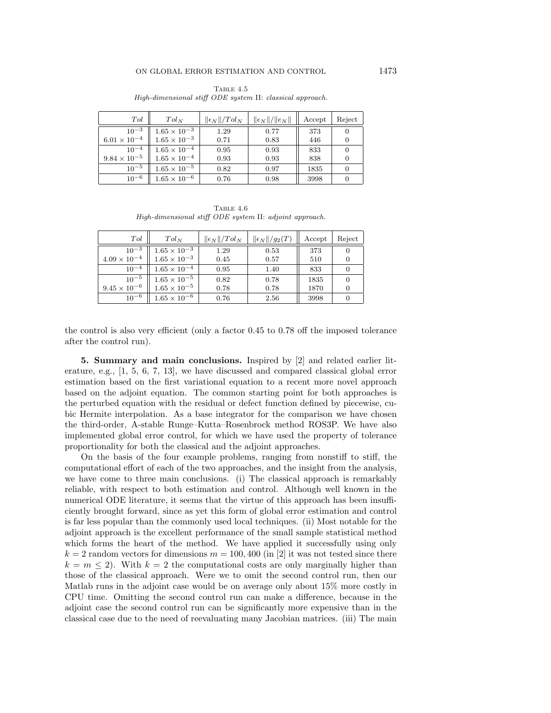| Tol                   | $Tol_N$               | $\ \epsilon_N\ /Tol_N$ | $\ \epsilon_N\ /\ e_N\ $ | Accept | Reject |
|-----------------------|-----------------------|------------------------|--------------------------|--------|--------|
| $10^{-3}$             | $1.65 \times 10^{-3}$ | 1.29                   | 0.77                     | 373    |        |
| $6.01 \times 10^{-4}$ | $1.65 \times 10^{-3}$ | 0.71                   | 0.83                     | 446    |        |
| $10^{-4}$             | $1.65 \times 10^{-4}$ | 0.95                   | 0.93                     | 833    | 0      |
| $9.84 \times 10^{-5}$ | $1.65 \times 10^{-4}$ | 0.93                   | 0.93                     | 838    |        |
| $10^{-5}$             | $1.65 \times 10^{-5}$ | 0.82                   | 0.97                     | 1835   | 0      |
| $10^{-6}$             | $1.65 \times 10^{-6}$ | 0.76                   | 0.98                     | 3998   |        |

Table 4.5 High-dimensional stiff ODE system II: classical approach.

TABLE  $4.6$ High-dimensional stiff ODE system II: adjoint approach.

| Tol                   | $Tol_N$               | $\ \epsilon_N\ /Tol_N$ | $\ \epsilon_N\ /g_2(T)$ | Accept | Reject |
|-----------------------|-----------------------|------------------------|-------------------------|--------|--------|
| $10^{-3}$             | $1.65 \times 10^{-3}$ | 1.29                   | 0.53                    | 373    |        |
| $4.09\times10^{-4}$   | $1.65 \times 10^{-3}$ | 0.45                   | 0.57                    | 510    |        |
| $10^{-4}$             | $1.65 \times 10^{-4}$ | 0.95                   | 1.40                    | 833    |        |
| $10^{-5}$             | $1.65 \times 10^{-5}$ | 0.82                   | 0.78                    | 1835   |        |
| $9.45 \times 10^{-6}$ | $1.65 \times 10^{-5}$ | 0.78                   | 0.78                    | 1870   |        |
| $10^{-6}$             | $1.65 \times 10^{-6}$ | 0.76                   | 2.56                    | 3998   |        |

the control is also very efficient (only a factor 0.45 to 0.78 off the imposed tolerance after the control run).

**5. Summary and main conclusions.** Inspired by [2] and related earlier literature, e.g., [1, 5, 6, 7, 13], we have discussed and compared classical global error estimation based on the first variational equation to a recent more novel approach based on the adjoint equation. The common starting point for both approaches is the perturbed equation with the residual or defect function defined by piecewise, cubic Hermite interpolation. As a base integrator for the comparison we have chosen the third-order, A-stable Runge–Kutta–Rosenbrock method ROS3P. We have also implemented global error control, for which we have used the property of tolerance proportionality for both the classical and the adjoint approaches.

On the basis of the four example problems, ranging from nonstiff to stiff, the computational effort of each of the two approaches, and the insight from the analysis, we have come to three main conclusions. (i) The classical approach is remarkably reliable, with respect to both estimation and control. Although well known in the numerical ODE literature, it seems that the virtue of this approach has been insufficiently brought forward, since as yet this form of global error estimation and control is far less popular than the commonly used local techniques. (ii) Most notable for the adjoint approach is the excellent performance of the small sample statistical method which forms the heart of the method. We have applied it successfully using only  $k = 2$  random vectors for dimensions  $m = 100, 400$  (in [2] it was not tested since there  $k = m \leq 2$ ). With  $k = 2$  the computational costs are only marginally higher than those of the classical approach. Were we to omit the second control run, then our Matlab runs in the adjoint case would be on average only about 15% more costly in CPU time. Omitting the second control run can make a difference, because in the adjoint case the second control run can be significantly more expensive than in the classical case due to the need of reevaluating many Jacobian matrices. (iii) The main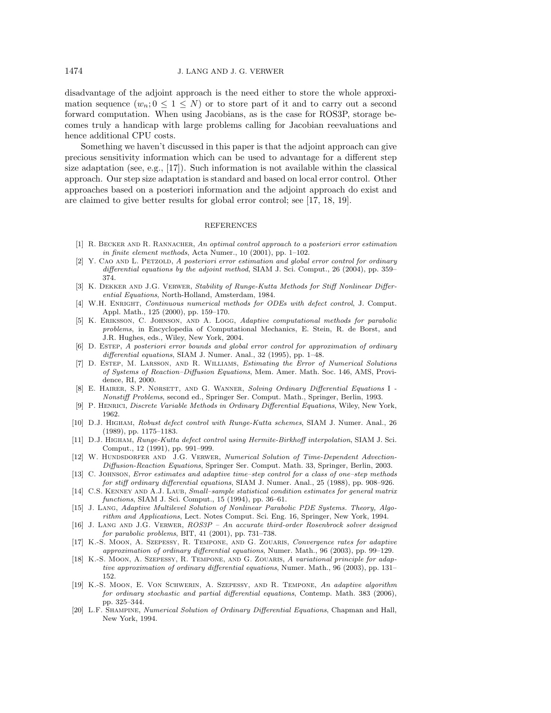disadvantage of the adjoint approach is the need either to store the whole approximation sequence  $(w_n; 0 \leq 1 \leq N)$  or to store part of it and to carry out a second forward computation. When using Jacobians, as is the case for ROS3P, storage becomes truly a handicap with large problems calling for Jacobian reevaluations and hence additional CPU costs.

Something we haven't discussed in this paper is that the adjoint approach can give precious sensitivity information which can be used to advantage for a different step size adaptation (see, e.g.,  $[17]$ ). Such information is not available within the classical approach. Our step size adaptation is standard and based on local error control. Other approaches based on a posteriori information and the adjoint approach do exist and are claimed to give better results for global error control; see [17, 18, 19].

## REFERENCES

- [1] R. BECKER AND R. RANNACHER, An optimal control approach to a posteriori error estimation in finite element methods, Acta Numer., 10 (2001), pp. 1–102.
- [2] Y. CAO AND L. PETZOLD, A posteriori error estimation and global error control for ordinary differential equations by the adjoint method, SIAM J. Sci. Comput., 26 (2004), pp. 359– 374.
- [3] K. Dekker and J.G. Verwer, Stability of Runge-Kutta Methods for Stiff Nonlinear Differential Equations, North-Holland, Amsterdam, 1984.
- [4] W.H. ENRIGHT, Continuous numerical methods for ODEs with defect control, J. Comput. Appl. Math., 125 (2000), pp. 159–170.
- [5] K. Eriksson, C. Johnson, and A. Logg, Adaptive computational methods for parabolic problems, in Encyclopedia of Computational Mechanics, E. Stein, R. de Borst, and J.R. Hughes, eds., Wiley, New York, 2004.
- [6] D. Estep, A posteriori error bounds and global error control for approximation of ordinary differential equations, SIAM J. Numer. Anal., 32 (1995), pp. 1–48.
- [7] D. Estep, M. Larsson, and R. Williams, Estimating the Error of Numerical Solutions of Systems of Reaction–Diffusion Equations, Mem. Amer. Math. Soc. 146, AMS, Providence, RI, 2000.
- [8] E. Hairer, S.P. Nørsett, and G. Wanner, Solving Ordinary Differential Equations I Nonstiff Problems, second ed., Springer Ser. Comput. Math., Springer, Berlin, 1993.
- [9] P. Henrici, Discrete Variable Methods in Ordinary Differential Equations, Wiley, New York, 1962.
- [10] D.J. Higham, Robust defect control with Runge-Kutta schemes, SIAM J. Numer. Anal., 26 (1989), pp. 1175–1183.
- [11] D.J. Higham, Runge-Kutta defect control using Hermite-Birkhoff interpolation, SIAM J. Sci. Comput., 12 (1991), pp. 991–999.
- [12] W. HUNDSDORFER AND J.G. VERWER, Numerical Solution of Time-Dependent Advection-Diffusion-Reaction Equations, Springer Ser. Comput. Math. 33, Springer, Berlin, 2003.
- [13] C. JOHNSON, Error estimates and adaptive time–step control for a class of one–step methods for stiff ordinary differential equations, SIAM J. Numer. Anal., 25 (1988), pp. 908–926.
- [14] C.S. KENNEY AND A.J. LAUB, Small–sample statistical condition estimates for general matrix functions, SIAM J. Sci. Comput., 15 (1994), pp. 36–61.
- [15] J. LANG, Adaptive Multilevel Solution of Nonlinear Parabolic PDE Systems. Theory, Algorithm and Applications, Lect. Notes Comput. Sci. Eng. 16, Springer, New York, 1994.
- [16] J. Lang and J.G. Verwer, ROS3P An accurate third-order Rosenbrock solver designed for parabolic problems, BIT, 41 (2001), pp. 731–738.
- [17] K.-S. Moon, A. Szepessy, R. Tempone, and G. Zouaris, Convergence rates for adaptive approximation of ordinary differential equations, Numer. Math., 96 (2003), pp. 99–129.
- [18] K.-S. MOON, A. SzEPESSY, R. TEMPONE, AND G. ZOUARIS, A variational principle for adaptive approximation of ordinary differential equations, Numer. Math., 96 (2003), pp. 131– 152.
- [19] K.-S. Moon, E. Von Schwerin, A. Szepessy, and R. Tempone, An adaptive algorithm for ordinary stochastic and partial differential equations, Contemp. Math. 383 (2006), pp. 325–344.
- [20] L.F. Shampine, Numerical Solution of Ordinary Differential Equations, Chapman and Hall, New York, 1994.